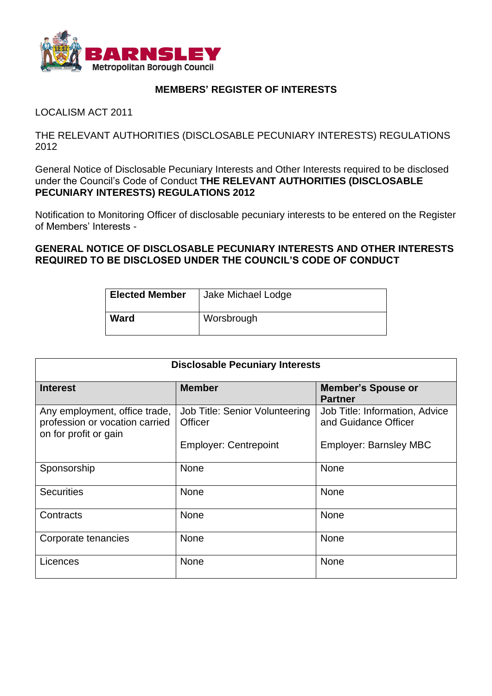

## **MEMBERS' REGISTER OF INTERESTS**

LOCALISM ACT 2011

THE RELEVANT AUTHORITIES (DISCLOSABLE PECUNIARY INTERESTS) REGULATIONS 2012

General Notice of Disclosable Pecuniary Interests and Other Interests required to be disclosed under the Council's Code of Conduct THE RELEVANT AUTHORITIES (DISCLOSABLE **PECUNIARY INTERESTS) REGULATIONS 2012**

Notification to Monitoring Officer of disclosable pecuniary interests to be entered on the Register of Members' Interests -

**GENERAL NOTICE OF DISCLOSABLE PECUNIARY INTERESTS AND OTHER INTERESTS REQUIRED TO BE DISCLOSED UNDER THE COUNCIL'S CODE OF CONDUCT**

| <b>Elected Member</b> | Jake Michael Lodge |
|-----------------------|--------------------|
| <b>Ward</b>           | Worsbrough         |

| <b>Disclosable Pecuniary Interests</b>                                                   |                                           |                                                        |  |
|------------------------------------------------------------------------------------------|-------------------------------------------|--------------------------------------------------------|--|
| <b>Interest</b>                                                                          | <b>Member</b>                             | <b>Member's Spouse or</b><br><b>Partner</b>            |  |
| Any employment, office trade,<br>profession or vocation carried<br>on for profit or gain | Job Title: Senior Volunteering<br>Officer | Job Title: Information, Advice<br>and Guidance Officer |  |
|                                                                                          | <b>Employer: Centrepoint</b>              | <b>Employer: Barnsley MBC</b>                          |  |
| Sponsorship                                                                              | <b>None</b>                               | <b>None</b>                                            |  |
| <b>Securities</b>                                                                        | <b>None</b>                               | <b>None</b>                                            |  |
| Contracts                                                                                | <b>None</b>                               | <b>None</b>                                            |  |
| Corporate tenancies                                                                      | <b>None</b>                               | <b>None</b>                                            |  |
| Licences                                                                                 | <b>None</b>                               | <b>None</b>                                            |  |